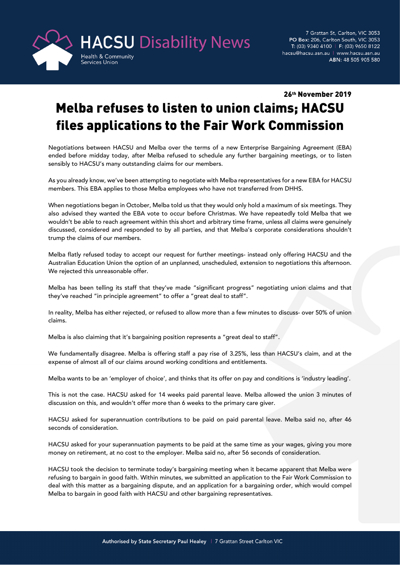

## 26th November 2019

## Melba refuses to listen to union claims; HACSU files applications to the Fair Work Commission

Negotiations between HACSU and Melba over the terms of a new Enterprise Bargaining Agreement (EBA) ended before midday today, after Melba refused to schedule any further bargaining meetings, or to listen sensibly to HACSU's many outstanding claims for our members.

As you already know, we've been attempting to negotiate with Melba representatives for a new EBA for HACSU members. This EBA applies to those Melba employees who have not transferred from DHHS.

When negotiations began in October, Melba told us that they would only hold a maximum of six meetings. They also advised they wanted the EBA vote to occur before Christmas. We have repeatedly told Melba that we wouldn't be able to reach agreement within this short and arbitrary time frame, unless all claims were genuinely discussed, considered and responded to by all parties, and that Melba's corporate considerations shouldn't trump the claims of our members.

Melba flatly refused today to accept our request for further meetings- instead only offering HACSU and the Australian Education Union the option of an unplanned, unscheduled, extension to negotiations this afternoon. We rejected this unreasonable offer.

Melba has been telling its staff that they've made "significant progress" negotiating union claims and that they've reached "in principle agreement" to offer a "great deal to staff".

In reality, Melba has either rejected, or refused to allow more than a few minutes to discuss- over 50% of union claims.

Melba is also claiming that it's bargaining position represents a "great deal to staff".

We fundamentally disagree. Melba is offering staff a pay rise of 3.25%, less than HACSU's claim, and at the expense of almost all of our claims around working conditions and entitlements.

Melba wants to be an 'employer of choice', and thinks that its offer on pay and conditions is 'industry leading'.

This is not the case. HACSU asked for 14 weeks paid parental leave. Melba allowed the union 3 minutes of discussion on this, and wouldn't offer more than 6 weeks to the primary care giver.

HACSU asked for superannuation contributions to be paid on paid parental leave. Melba said no, after 46 seconds of consideration.

HACSU asked for your superannuation payments to be paid at the same time as your wages, giving you more money on retirement, at no cost to the employer. Melba said no, after 56 seconds of consideration.

HACSU took the decision to terminate today's bargaining meeting when it became apparent that Melba were refusing to bargain in good faith. Within minutes, we submitted an application to the Fair Work Commission to deal with this matter as a bargaining dispute, and an application for a bargaining order, which would compel Melba to bargain in good faith with HACSU and other bargaining representatives.